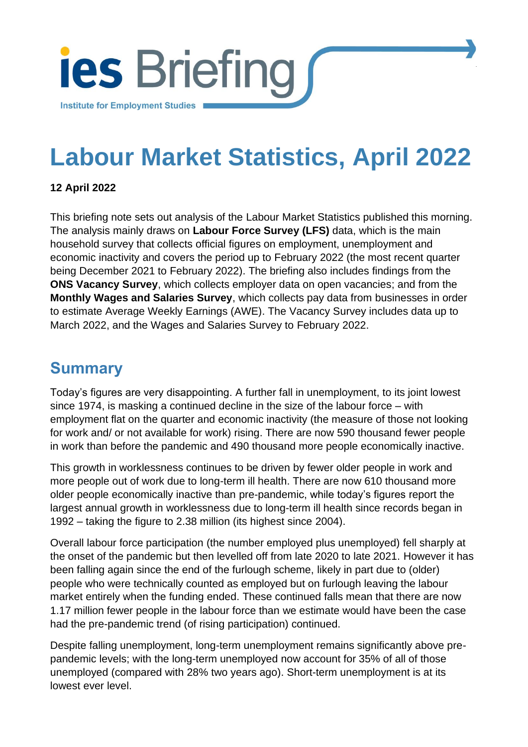

# **Labour Market Statistics, April 2022**

[Institute for Employment Studies](http://www.employment-studies.co.uk/) 1

### **12 April 2022**

This briefing note sets out analysis of the Labour Market Statistics published this morning. The analysis mainly draws on **Labour Force Survey (LFS)** data, which is the main household survey that collects official figures on employment, unemployment and economic inactivity and covers the period up to February 2022 (the most recent quarter being December 2021 to February 2022). The briefing also includes findings from the **ONS Vacancy Survey**, which collects employer data on open vacancies; and from the **Monthly Wages and Salaries Survey**, which collects pay data from businesses in order to estimate Average Weekly Earnings (AWE). The Vacancy Survey includes data up to March 2022, and the Wages and Salaries Survey to February 2022.

### **Summary**

Today's figures are very disappointing. A further fall in unemployment, to its joint lowest since 1974, is masking a continued decline in the size of the labour force – with employment flat on the quarter and economic inactivity (the measure of those not looking for work and/ or not available for work) rising. There are now 590 thousand fewer people in work than before the pandemic and 490 thousand more people economically inactive.

This growth in worklessness continues to be driven by fewer older people in work and more people out of work due to long-term ill health. There are now 610 thousand more older people economically inactive than pre-pandemic, while today's figures report the largest annual growth in worklessness due to long-term ill health since records began in 1992 – taking the figure to 2.38 million (its highest since 2004).

Overall labour force participation (the number employed plus unemployed) fell sharply at the onset of the pandemic but then levelled off from late 2020 to late 2021. However it has been falling again since the end of the furlough scheme, likely in part due to (older) people who were technically counted as employed but on furlough leaving the labour market entirely when the funding ended. These continued falls mean that there are now 1.17 million fewer people in the labour force than we estimate would have been the case had the pre-pandemic trend (of rising participation) continued.

Despite falling unemployment, long-term unemployment remains significantly above prepandemic levels; with the long-term unemployed now account for 35% of all of those unemployed (compared with 28% two years ago). Short-term unemployment is at its lowest ever level.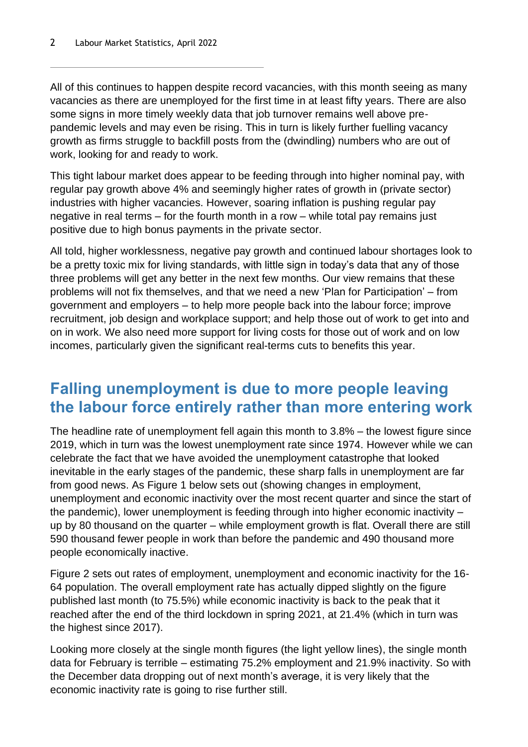All of this continues to happen despite record vacancies, with this month seeing as many vacancies as there are unemployed for the first time in at least fifty years. There are also some signs in more timely weekly data that job turnover remains well above prepandemic levels and may even be rising. This in turn is likely further fuelling vacancy growth as firms struggle to backfill posts from the (dwindling) numbers who are out of work, looking for and ready to work.

This tight labour market does appear to be feeding through into higher nominal pay, with regular pay growth above 4% and seemingly higher rates of growth in (private sector) industries with higher vacancies. However, soaring inflation is pushing regular pay negative in real terms – for the fourth month in a row – while total pay remains just positive due to high bonus payments in the private sector.

All told, higher worklessness, negative pay growth and continued labour shortages look to be a pretty toxic mix for living standards, with little sign in today's data that any of those three problems will get any better in the next few months. Our view remains that these problems will not fix themselves, and that we need a new 'Plan for Participation' – from government and employers – to help more people back into the labour force; improve recruitment, job design and workplace support; and help those out of work to get into and on in work. We also need more support for living costs for those out of work and on low incomes, particularly given the significant real-terms cuts to benefits this year.

### **Falling unemployment is due to more people leaving the labour force entirely rather than more entering work**

The headline rate of unemployment fell again this month to 3.8% – the lowest figure since 2019, which in turn was the lowest unemployment rate since 1974. However while we can celebrate the fact that we have avoided the unemployment catastrophe that looked inevitable in the early stages of the pandemic, these sharp falls in unemployment are far from good news. As [Figure 1](#page-2-0) below sets out (showing changes in employment, unemployment and economic inactivity over the most recent quarter and since the start of the pandemic), lower unemployment is feeding through into higher economic inactivity – up by 80 thousand on the quarter – while employment growth is flat. Overall there are still 590 thousand fewer people in work than before the pandemic and 490 thousand more people economically inactive.

[Figure 2](#page-2-1) sets out rates of employment, unemployment and economic inactivity for the 16- 64 population. The overall employment rate has actually dipped slightly on the figure published last month (to 75.5%) while economic inactivity is back to the peak that it reached after the end of the third lockdown in spring 2021, at 21.4% (which in turn was the highest since 2017).

Looking more closely at the single month figures (the light yellow lines), the single month data for February is terrible – estimating 75.2% employment and 21.9% inactivity. So with the December data dropping out of next month's average, it is very likely that the economic inactivity rate is going to rise further still.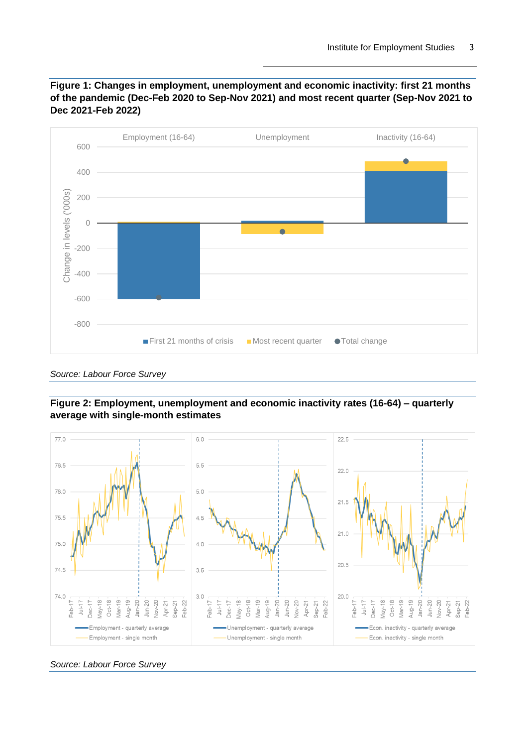<span id="page-2-0"></span>



*Source: Labour Force Survey*

<span id="page-2-1"></span>



*Source: Labour Force Survey*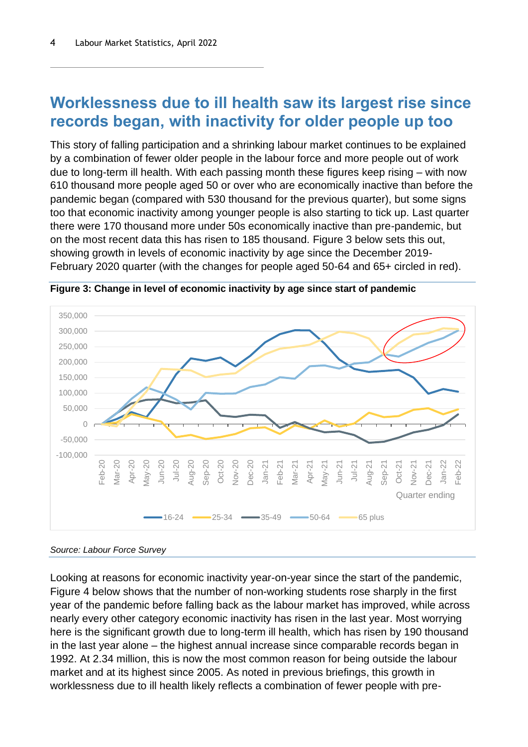### **Worklessness due to ill health saw its largest rise since records began, with inactivity for older people up too**

This story of falling participation and a shrinking labour market continues to be explained by a combination of fewer older people in the labour force and more people out of work due to long-term ill health. With each passing month these figures keep rising – with now 610 thousand more people aged 50 or over who are economically inactive than before the pandemic began (compared with 530 thousand for the previous quarter), but some signs too that economic inactivity among younger people is also starting to tick up. Last quarter there were 170 thousand more under 50s economically inactive than pre-pandemic, but on the most recent data this has risen to 185 thousand. [Figure 3](#page-3-0) below sets this out, showing growth in levels of economic inactivity by age since the December 2019- February 2020 quarter (with the changes for people aged 50-64 and 65+ circled in red).



<span id="page-3-0"></span>**Figure 3: Change in level of economic inactivity by age since start of pandemic**

Looking at reasons for economic inactivity year-on-year since the start of the pandemic, [Figure 4](#page-4-0) below shows that the number of non-working students rose sharply in the first year of the pandemic before falling back as the labour market has improved, while across nearly every other category economic inactivity has risen in the last year. Most worrying here is the significant growth due to long-term ill health, which has risen by 190 thousand in the last year alone – the highest annual increase since comparable records began in 1992. At 2.34 million, this is now the most common reason for being outside the labour market and at its highest since 2005. As noted in previous briefings, this growth in worklessness due to ill health likely reflects a combination of fewer people with pre-

*Source: Labour Force Survey*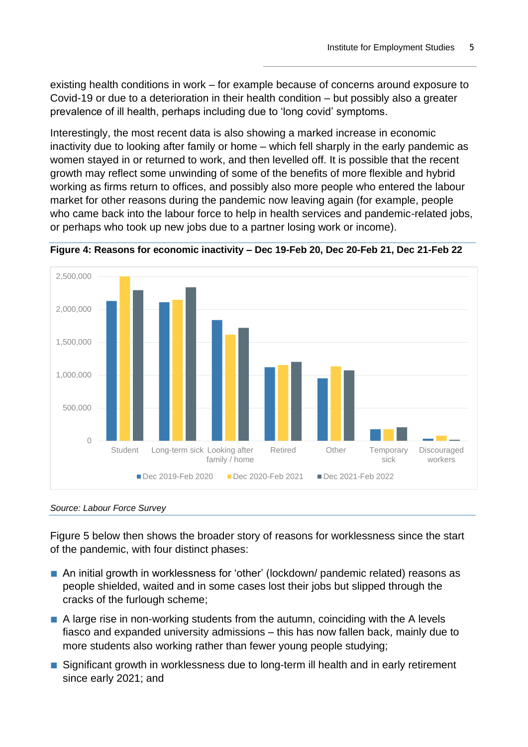existing health conditions in work – for example because of concerns around exposure to Covid-19 or due to a deterioration in their health condition – but possibly also a greater prevalence of ill health, perhaps including due to 'long covid' symptoms.

Interestingly, the most recent data is also showing a marked increase in economic inactivity due to looking after family or home – which fell sharply in the early pandemic as women stayed in or returned to work, and then levelled off. It is possible that the recent growth may reflect some unwinding of some of the benefits of more flexible and hybrid working as firms return to offices, and possibly also more people who entered the labour market for other reasons during the pandemic now leaving again (for example, people who came back into the labour force to help in health services and pandemic-related jobs, or perhaps who took up new jobs due to a partner losing work or income).



<span id="page-4-0"></span>**Figure 4: Reasons for economic inactivity – Dec 19-Feb 20, Dec 20-Feb 21, Dec 21-Feb 22**

#### *Source: Labour Force Survey*

[Figure 5](#page-5-0) below then shows the broader story of reasons for worklessness since the start of the pandemic, with four distinct phases:

- An initial growth in worklessness for 'other' (lockdown/ pandemic related) reasons as people shielded, waited and in some cases lost their jobs but slipped through the cracks of the furlough scheme;
- A large rise in non-working students from the autumn, coinciding with the A levels fiasco and expanded university admissions – this has now fallen back, mainly due to more students also working rather than fewer young people studying;
- Significant growth in worklessness due to long-term ill health and in early retirement since early 2021; and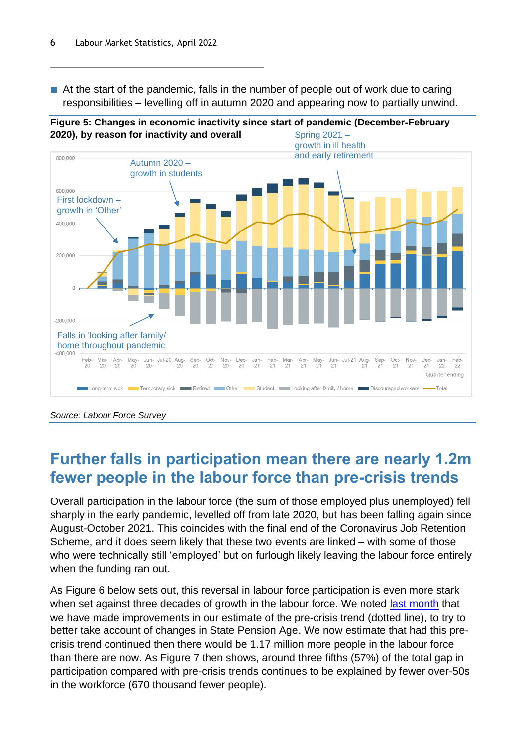■ At the start of the pandemic, falls in the number of people out of work due to caring responsibilities – levelling off in autumn 2020 and appearing now to partially unwind.

<span id="page-5-0"></span>



*Source: Labour Force Survey*

## **Further falls in participation mean there are nearly 1.2m fewer people in the labour force than pre-crisis trends**

Overall participation in the labour force (the sum of those employed plus unemployed) fell sharply in the early pandemic, levelled off from late 2020, but has been falling again since August-October 2021. This coincides with the final end of the Coronavirus Job Retention Scheme, and it does seem likely that these two events are linked – with some of those who were technically still 'employed' but on furlough likely leaving the labour force entirely when the funding ran out.

As [Figure 6](#page-6-0) below sets out, this reversal in labour force participation is even more stark when set against three decades of growth in the labour force. We noted [last month](https://www.employment-studies.co.uk/resource/labour-market-statistics-march-2022) that we have made improvements in our estimate of the pre-crisis trend (dotted line), to try to better take account of changes in State Pension Age. We now estimate that had this precrisis trend continued then there would be 1.17 million more people in the labour force than there are now. As [Figure 7](#page-6-1) then shows, around three fifths (57%) of the total gap in participation compared with pre-crisis trends continues to be explained by fewer over-50s in the workforce (670 thousand fewer people).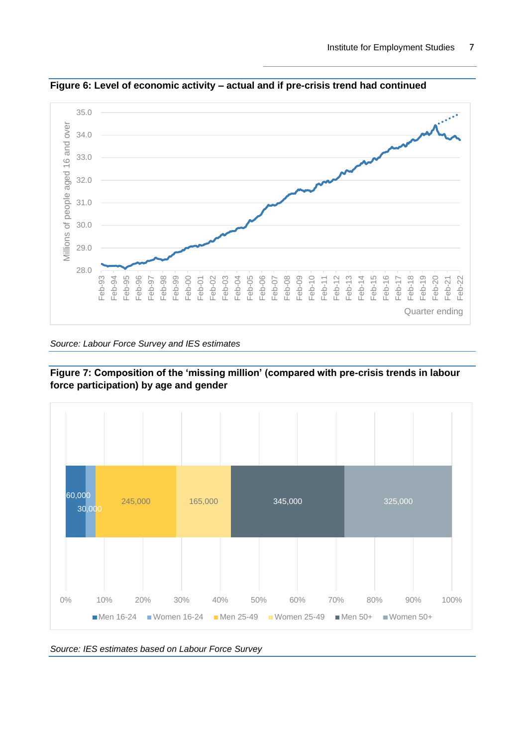

<span id="page-6-0"></span>**Figure 6: Level of economic activity – actual and if pre-crisis trend had continued**

*Source: Labour Force Survey and IES estimates*

<span id="page-6-1"></span>



*Source: IES estimates based on Labour Force Survey*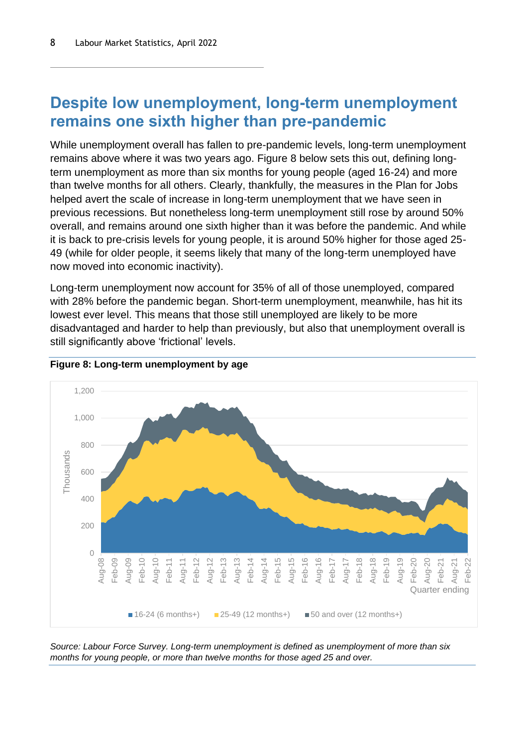### **Despite low unemployment, long-term unemployment remains one sixth higher than pre-pandemic**

While unemployment overall has fallen to pre-pandemic levels, long-term unemployment remains above where it was two years ago. [Figure 8](#page-7-0) below sets this out, defining longterm unemployment as more than six months for young people (aged 16-24) and more than twelve months for all others. Clearly, thankfully, the measures in the Plan for Jobs helped avert the scale of increase in long-term unemployment that we have seen in previous recessions. But nonetheless long-term unemployment still rose by around 50% overall, and remains around one sixth higher than it was before the pandemic. And while it is back to pre-crisis levels for young people, it is around 50% higher for those aged 25- 49 (while for older people, it seems likely that many of the long-term unemployed have now moved into economic inactivity).

Long-term unemployment now account for 35% of all of those unemployed, compared with 28% before the pandemic began. Short-term unemployment, meanwhile, has hit its lowest ever level. This means that those still unemployed are likely to be more disadvantaged and harder to help than previously, but also that unemployment overall is still significantly above 'frictional' levels.



#### <span id="page-7-0"></span>**Figure 8: Long-term unemployment by age**

*Source: Labour Force Survey. Long-term unemployment is defined as unemployment of more than six months for young people, or more than twelve months for those aged 25 and over.*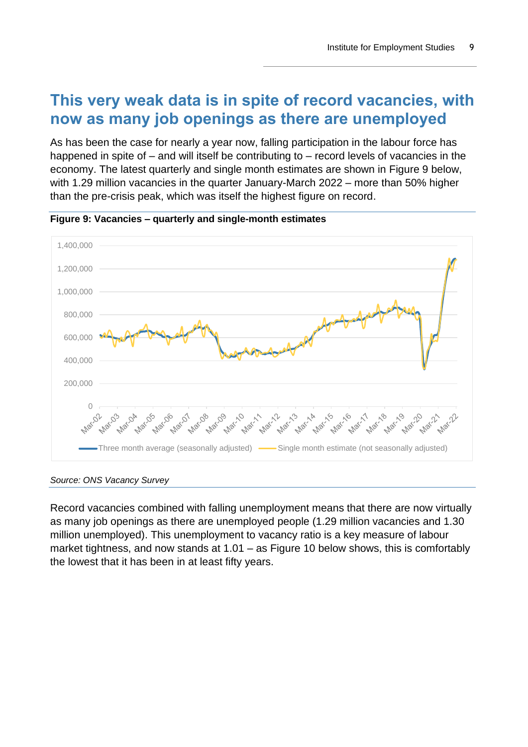### **This very weak data is in spite of record vacancies, with now as many job openings as there are unemployed**

As has been the case for nearly a year now, falling participation in the labour force has happened in spite of – and will itself be contributing to – record levels of vacancies in the economy. The latest quarterly and single month estimates are shown in [Figure 9](#page-8-0) below, with 1.29 million vacancies in the quarter January-March 2022 – more than 50% higher than the pre-crisis peak, which was itself the highest figure on record.



<span id="page-8-0"></span>**Figure 9: Vacancies – quarterly and single-month estimates**

*Source: ONS Vacancy Survey*

Record vacancies combined with falling unemployment means that there are now virtually as many job openings as there are unemployed people (1.29 million vacancies and 1.30 million unemployed). This unemployment to vacancy ratio is a key measure of labour market tightness, and now stands at 1.01 – as [Figure 10](#page-9-0) below shows, this is comfortably the lowest that it has been in at least fifty years.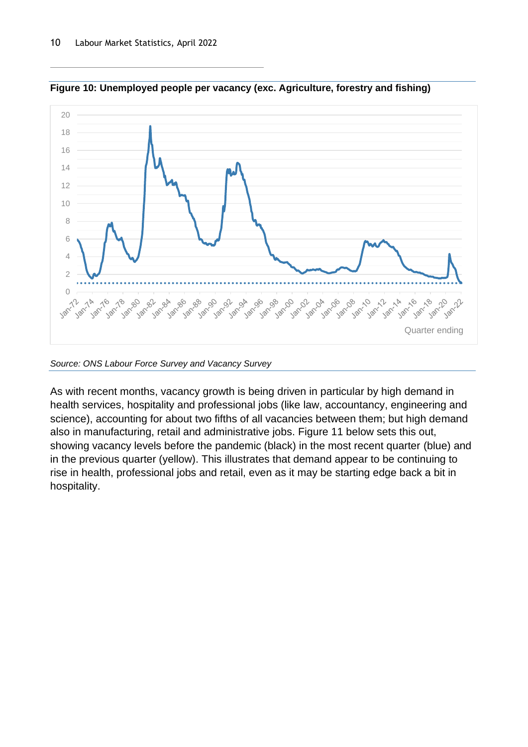

<span id="page-9-0"></span>**Figure 10: Unemployed people per vacancy (exc. Agriculture, forestry and fishing)**

*Source: ONS Labour Force Survey and Vacancy Survey*

As with recent months, vacancy growth is being driven in particular by high demand in health services, hospitality and professional jobs (like law, accountancy, engineering and science), accounting for about two fifths of all vacancies between them; but high demand also in manufacturing, retail and administrative jobs. [Figure 11](#page-10-0) below sets this out, showing vacancy levels before the pandemic (black) in the most recent quarter (blue) and in the previous quarter (yellow). This illustrates that demand appear to be continuing to rise in health, professional jobs and retail, even as it may be starting edge back a bit in hospitality.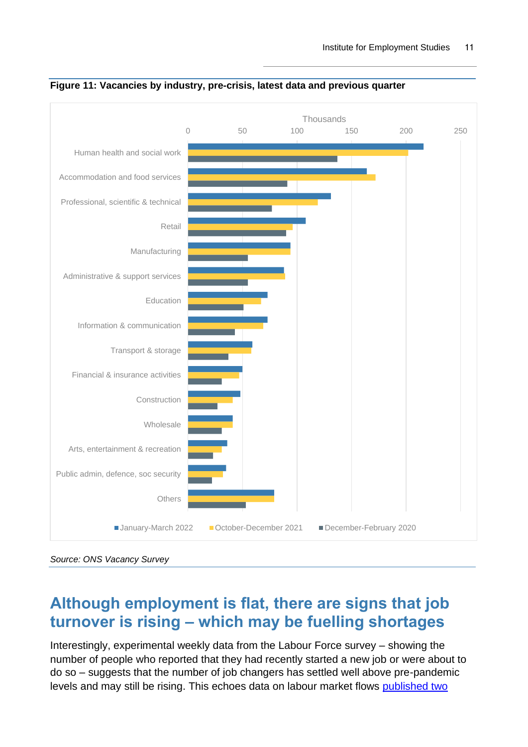

<span id="page-10-0"></span>**Figure 11: Vacancies by industry, pre-crisis, latest data and previous quarter**

### **Although employment is flat, there are signs that job turnover is rising – which may be fuelling shortages**

Interestingly, experimental weekly data from the Labour Force survey – showing the number of people who reported that they had recently started a new job or were about to do so – suggests that the number of job changers has settled well above pre-pandemic levels and may still be rising. This echoes data on labour market flows [published two](https://www.employment-studies.co.uk/resource/labour-market-statistics-february-2022) 

*Source: ONS Vacancy Survey*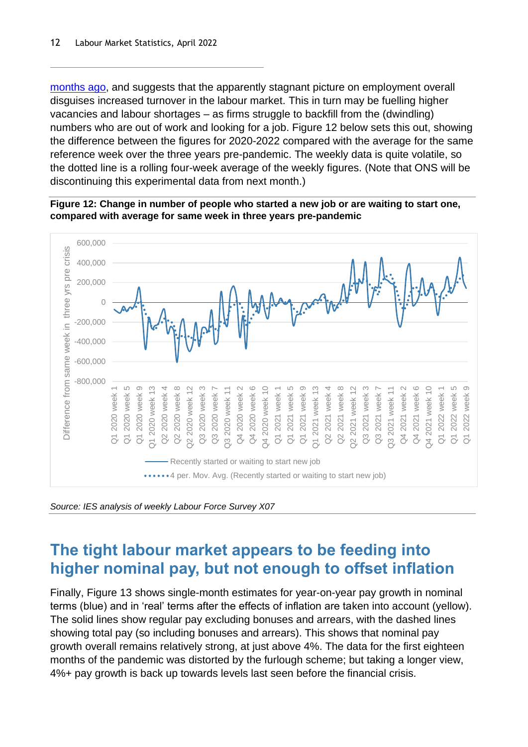[months ago,](https://www.employment-studies.co.uk/resource/labour-market-statistics-february-2022) and suggests that the apparently stagnant picture on employment overall disguises increased turnover in the labour market. This in turn may be fuelling higher vacancies and labour shortages – as firms struggle to backfill from the (dwindling) numbers who are out of work and looking for a job. [Figure 12](#page-11-0) below sets this out, showing the difference between the figures for 2020-2022 compared with the average for the same reference week over the three years pre-pandemic. The weekly data is quite volatile, so the dotted line is a rolling four-week average of the weekly figures. (Note that ONS will be discontinuing this experimental data from next month.)

<span id="page-11-0"></span>**Figure 12: Change in number of people who started a new job or are waiting to start one, compared with average for same week in three years pre-pandemic**



*Source: IES analysis of weekly Labour Force Survey X07*

## **The tight labour market appears to be feeding into higher nominal pay, but not enough to offset inflation**

Finally, [Figure 13](#page-12-0) shows single-month estimates for year-on-year pay growth in nominal terms (blue) and in 'real' terms after the effects of inflation are taken into account (yellow). The solid lines show regular pay excluding bonuses and arrears, with the dashed lines showing total pay (so including bonuses and arrears). This shows that nominal pay growth overall remains relatively strong, at just above 4%. The data for the first eighteen months of the pandemic was distorted by the furlough scheme; but taking a longer view, 4%+ pay growth is back up towards levels last seen before the financial crisis.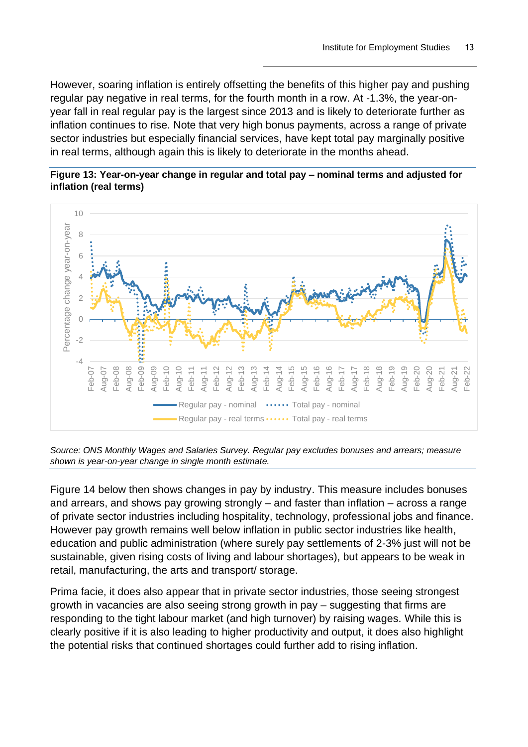However, soaring inflation is entirely offsetting the benefits of this higher pay and pushing regular pay negative in real terms, for the fourth month in a row. At -1.3%, the year-onyear fall in real regular pay is the largest since 2013 and is likely to deteriorate further as inflation continues to rise. Note that very high bonus payments, across a range of private sector industries but especially financial services, have kept total pay marginally positive in real terms, although again this is likely to deteriorate in the months ahead.

<span id="page-12-0"></span>





[Figure 14](#page-13-0) below then shows changes in pay by industry. This measure includes bonuses and arrears, and shows pay growing strongly – and faster than inflation – across a range of private sector industries including hospitality, technology, professional jobs and finance. However pay growth remains well below inflation in public sector industries like health, education and public administration (where surely pay settlements of 2-3% just will not be sustainable, given rising costs of living and labour shortages), but appears to be weak in retail, manufacturing, the arts and transport/ storage.

Prima facie, it does also appear that in private sector industries, those seeing strongest growth in vacancies are also seeing strong growth in pay – suggesting that firms are responding to the tight labour market (and high turnover) by raising wages. While this is clearly positive if it is also leading to higher productivity and output, it does also highlight the potential risks that continued shortages could further add to rising inflation.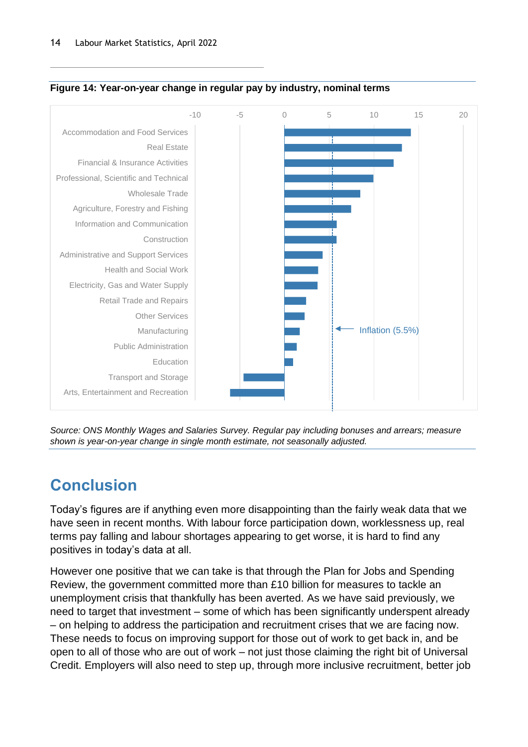

#### <span id="page-13-0"></span>**Figure 14: Year-on-year change in regular pay by industry, nominal terms**

*Source: ONS Monthly Wages and Salaries Survey. Regular pay including bonuses and arrears; measure shown is year-on-year change in single month estimate, not seasonally adjusted.*

# **Conclusion**

Today's figures are if anything even more disappointing than the fairly weak data that we have seen in recent months. With labour force participation down, worklessness up, real terms pay falling and labour shortages appearing to get worse, it is hard to find any positives in today's data at all.

However one positive that we can take is that through the Plan for Jobs and Spending Review, the government committed more than £10 billion for measures to tackle an unemployment crisis that thankfully has been averted. As we have said previously, we need to target that investment – some of which has been significantly underspent already – on helping to address the participation and recruitment crises that we are facing now. These needs to focus on improving support for those out of work to get back in, and be open to all of those who are out of work – not just those claiming the right bit of Universal Credit. Employers will also need to step up, through more inclusive recruitment, better job